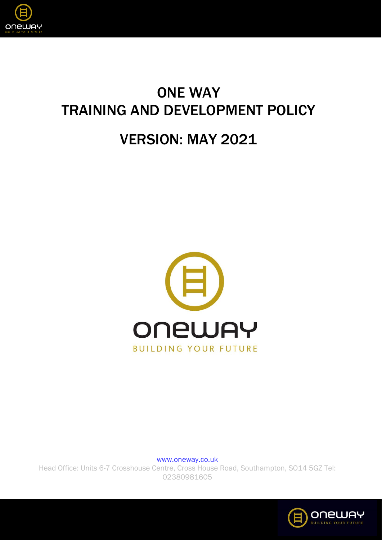

# ONE WAY TRAINING AND DEVELOPMENT POLICY

## VERSION: MAY 2021



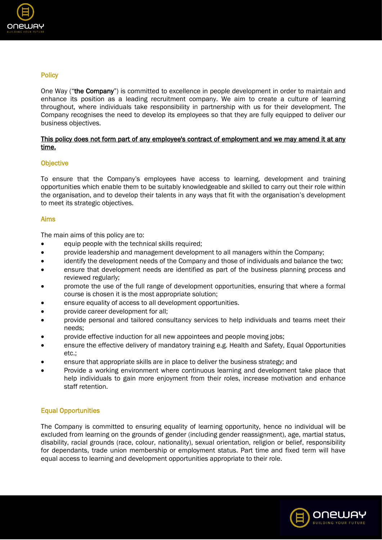

## **Policy**

One Way ("the Company") is committed to excellence in people development in order to maintain and enhance its position as a leading recruitment company. We aim to create a culture of learning throughout, where individuals take responsibility in partnership with us for their development. The Company recognises the need to develop its employees so that they are fully equipped to deliver our business objectives.

## This policy does not form part of any employee's contract of employment and we may amend it at any time.

## **Objective**

To ensure that the Company's employees have access to learning, development and training opportunities which enable them to be suitably knowledgeable and skilled to carry out their role within the organisation, and to develop their talents in any ways that fit with the organisation's development to meet its strategic objectives.

### Aims

The main aims of this policy are to:

- equip people with the technical skills required:
- provide leadership and management development to all managers within the Company;
- identify the development needs of the Company and those of individuals and balance the two;
- ensure that development needs are identified as part of the business planning process and reviewed regularly;
- promote the use of the full range of development opportunities, ensuring that where a formal course is chosen it is the most appropriate solution;
- ensure equality of access to all development opportunities.
- provide career development for all;
- provide personal and tailored consultancy services to help individuals and teams meet their needs;
- provide effective induction for all new appointees and people moving jobs;
- ensure the effective delivery of mandatory training e.g. Health and Safety, Equal Opportunities etc.;
- ensure that appropriate skills are in place to deliver the business strategy; and
- Provide a working environment where continuous learning and development take place that help individuals to gain more enjoyment from their roles, increase motivation and enhance staff retention.

## Equal Opportunities

The Company is committed to ensuring equality of learning opportunity, hence no individual will be excluded from learning on the grounds of gender (including gender reassignment), age, martial status, disability, racial grounds (race, colour, nationality), sexual orientation, religion or belief, responsibility for dependants, trade union membership or employment status. Part time and fixed term will have equal access to learning and development opportunities appropriate to their role.

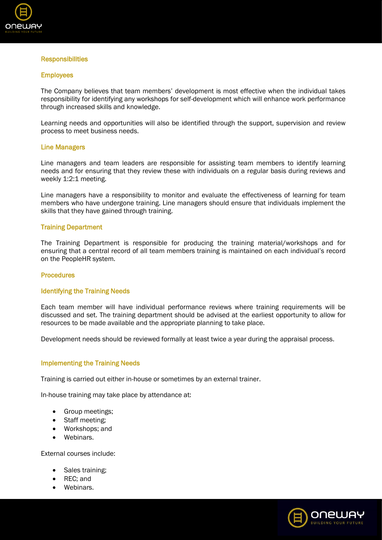

#### **Responsibilities**

#### **Employees**

The Company believes that team members' development is most effective when the individual takes responsibility for identifying any workshops for self-development which will enhance work performance through increased skills and knowledge.

Learning needs and opportunities will also be identified through the support, supervision and review process to meet business needs.

#### Line Managers

Line managers and team leaders are responsible for assisting team members to identify learning needs and for ensuring that they review these with individuals on a regular basis during reviews and weekly 1:2:1 meeting.

Line managers have a responsibility to monitor and evaluate the effectiveness of learning for team members who have undergone training. Line managers should ensure that individuals implement the skills that they have gained through training.

#### Training Department

The Training Department is responsible for producing the training material/workshops and for ensuring that a central record of all team members training is maintained on each individual's record on the PeopleHR system.

#### **Procedures**

#### Identifying the Training Needs

Each team member will have individual performance reviews where training requirements will be discussed and set. The training department should be advised at the earliest opportunity to allow for resources to be made available and the appropriate planning to take place.

Development needs should be reviewed formally at least twice a year during the appraisal process.

#### Implementing the Training Needs

Training is carried out either in-house or sometimes by an external trainer.

In-house training may take place by attendance at:

- Group meetings:
- Staff meeting;
- Workshops; and
- Webinars.

External courses include:

- Sales training;
- REC; and
- Webinars.

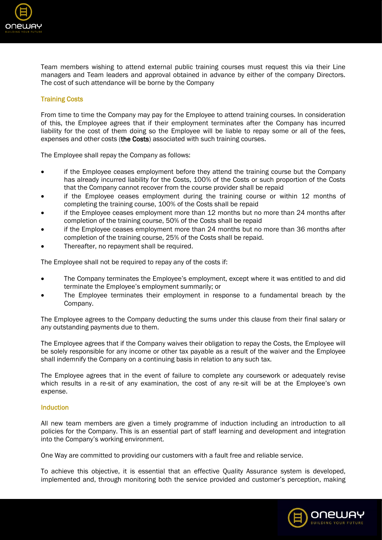

Team members wishing to attend external public training courses must request this via their Line managers and Team leaders and approval obtained in advance by either of the company Directors. The cost of such attendance will be borne by the Company

## Training Costs

From time to time the Company may pay for the Employee to attend training courses. In consideration of this, the Employee agrees that if their employment terminates after the Company has incurred liability for the cost of them doing so the Employee will be liable to repay some or all of the fees, expenses and other costs (the Costs) associated with such training courses.

The Employee shall repay the Company as follows:

- if the Employee ceases employment before they attend the training course but the Company has already incurred liability for the Costs, 100% of the Costs or such proportion of the Costs that the Company cannot recover from the course provider shall be repaid
- if the Employee ceases employment during the training course or within 12 months of completing the training course, 100% of the Costs shall be repaid
- if the Employee ceases employment more than 12 months but no more than 24 months after completion of the training course, 50% of the Costs shall be repaid
- if the Employee ceases employment more than 24 months but no more than 36 months after completion of the training course, 25% of the Costs shall be repaid.
- Thereafter, no repayment shall be required.

The Employee shall not be required to repay any of the costs if:

- The Company terminates the Employee's employment, except where it was entitled to and did terminate the Employee's employment summarily; or
- The Employee terminates their employment in response to a fundamental breach by the Company.

The Employee agrees to the Company deducting the sums under this clause from their final salary or any outstanding payments due to them.

The Employee agrees that if the Company waives their obligation to repay the Costs, the Employee will be solely responsible for any income or other tax payable as a result of the waiver and the Employee shall indemnify the Company on a continuing basis in relation to any such tax.

The Employee agrees that in the event of failure to complete any coursework or adequately revise which results in a re-sit of any examination, the cost of any re-sit will be at the Employee's own expense.

#### Induction

All new team members are given a timely programme of induction including an introduction to all policies for the Company. This is an essential part of staff learning and development and integration into the Company's working environment.

One Way are committed to providing our customers with a fault free and reliable service.

To achieve this objective, it is essential that an effective Quality Assurance system is developed, implemented and, through monitoring both the service provided and customer's perception, making